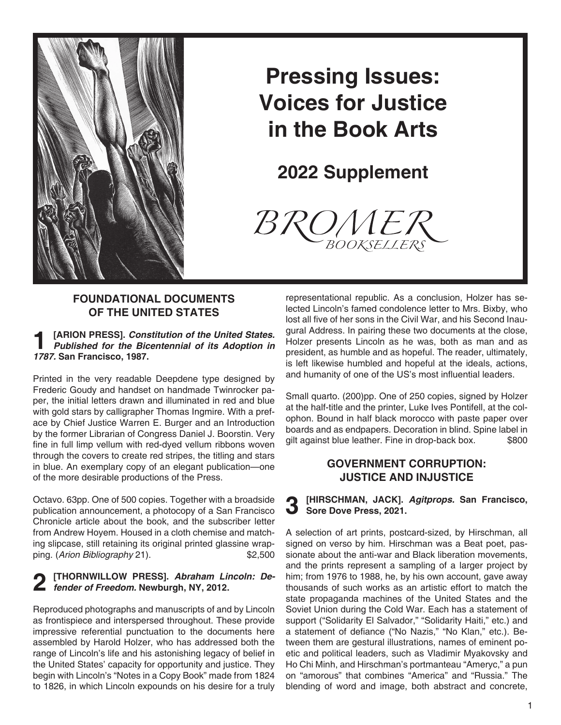

# **Pressing Issues: Voices for Justice in the Book Arts**

**2022 Supplement**



### **Foundational Documents of the United States**

**1 [ARION PRESS].** *Constitution of the United States. Published for the Bicentennial of its Adoption in 1787.* **San Francisco, 1987.**

Printed in the very readable Deepdene type designed by Frederic Goudy and handset on handmade Twinrocker paper, the initial letters drawn and illuminated in red and blue with gold stars by calligrapher Thomas Ingmire. With a preface by Chief Justice Warren E. Burger and an Introduction by the former Librarian of Congress Daniel J. Boorstin. Very fine in full limp vellum with red-dyed vellum ribbons woven through the covers to create red stripes, the titling and stars in blue. An exemplary copy of an elegant publication—one of the more desirable productions of the Press.

Octavo. 63pp. One of 500 copies. Together with a broadside publication announcement, a photocopy of a San Francisco Chronicle article about the book, and the subscriber letter from Andrew Hoyem. Housed in a cloth chemise and matching slipcase, still retaining its original printed glassine wrapping. (*Arion Bibliography* 21). \$2,500

# **2 [THORNWILLOW PRESS].** *Abraham Lincoln: De-fender of Freedom.* **Newburgh, NY, 2012.**

Reproduced photographs and manuscripts of and by Lincoln as frontispiece and interspersed throughout. These provide impressive referential punctuation to the documents here assembled by Harold Holzer, who has addressed both the range of Lincoln's life and his astonishing legacy of belief in the United States' capacity for opportunity and justice. They begin with Lincoln's "Notes in a Copy Book" made from 1824 to 1826, in which Lincoln expounds on his desire for a truly representational republic. As a conclusion, Holzer has selected Lincoln's famed condolence letter to Mrs. Bixby, who lost all five of her sons in the Civil War, and his Second Inaugural Address. In pairing these two documents at the close, Holzer presents Lincoln as he was, both as man and as president, as humble and as hopeful. The reader, ultimately, is left likewise humbled and hopeful at the ideals, actions, and humanity of one of the US's most influential leaders.

Small quarto. (200)pp. One of 250 copies, signed by Holzer at the half-title and the printer, Luke Ives Pontifell, at the colophon. Bound in half black morocco with paste paper over boards and as endpapers. Decoration in blind. Spine label in gilt against blue leather. Fine in drop-back box. \$800

### **Government Corruption: Justice and Injustice**

**3 [HIRSCHMAN, JACK].** *Agitprops.* **San Francisco, Sore Dove Press, 2021.**

A selection of art prints, postcard-sized, by Hirschman, all signed on verso by him. Hirschman was a Beat poet, passionate about the anti-war and Black liberation movements, and the prints represent a sampling of a larger project by him; from 1976 to 1988, he, by his own account, gave away thousands of such works as an artistic effort to match the state propaganda machines of the United States and the Soviet Union during the Cold War. Each has a statement of support ("Solidarity El Salvador," "Solidarity Haiti," etc.) and a statement of defiance ("No Nazis," "No Klan," etc.). Between them are gestural illustrations, names of eminent poetic and political leaders, such as Vladimir Myakovsky and Ho Chi Minh, and Hirschman's portmanteau "Ameryc," a pun on "amorous" that combines "America" and "Russia." The blending of word and image, both abstract and concrete,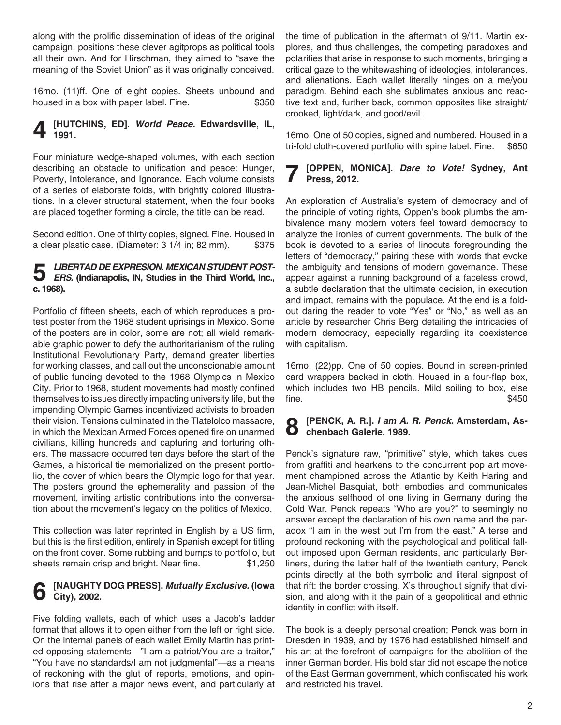along with the prolific dissemination of ideas of the original campaign, positions these clever agitprops as political tools all their own. And for Hirschman, they aimed to "save the meaning of the Soviet Union" as it was originally conceived.

16mo. (11)ff. One of eight copies. Sheets unbound and housed in a box with paper label. Fine.  $$350$ 

#### **4 [HUTCHINS, ED].** *World Peace.* **Edwardsville, IL, 1991.**

Four miniature wedge-shaped volumes, with each section describing an obstacle to unification and peace: Hunger, Poverty, Intolerance, and Ignorance. Each volume consists of a series of elaborate folds, with brightly colored illustrations. In a clever structural statement, when the four books are placed together forming a circle, the title can be read.

Second edition. One of thirty copies, signed. Fine. Housed in a clear plastic case. (Diameter: 3 1/4 in; 82 mm). \$375

## **5** *LIBERTAD DE EXPRESION. MEXICAN STUDENT POST-ERS.* **(Indianapolis, IN, Studies in the Third World, Inc., c. 1968).**

Portfolio of fifteen sheets, each of which reproduces a protest poster from the 1968 student uprisings in Mexico. Some of the posters are in color, some are not; all wield remarkable graphic power to defy the authoritarianism of the ruling Institutional Revolutionary Party, demand greater liberties for working classes, and call out the unconscionable amount of public funding devoted to the 1968 Olympics in Mexico City. Prior to 1968, student movements had mostly confined themselves to issues directly impacting university life, but the impending Olympic Games incentivized activists to broaden their vision. Tensions culminated in the Tlatelolco massacre, in which the Mexican Armed Forces opened fire on unarmed civilians, killing hundreds and capturing and torturing others. The massacre occurred ten days before the start of the Games, a historical tie memorialized on the present portfolio, the cover of which bears the Olympic logo for that year. The posters ground the ephemerality and passion of the movement, inviting artistic contributions into the conversation about the movement's legacy on the politics of Mexico.

This collection was later reprinted in English by a US firm, but this is the first edition, entirely in Spanish except for titling on the front cover. Some rubbing and bumps to portfolio, but sheets remain crisp and bright. Near fine. \$1,250

#### **6 [NAUGHTY DOG PRESS].** *Mutually Exclusive.* **(Iowa City), 2002.**

Five folding wallets, each of which uses a Jacob's ladder format that allows it to open either from the left or right side. On the internal panels of each wallet Emily Martin has printed opposing statements—"I am a patriot/You are a traitor," "You have no standards/I am not judgmental"—as a means of reckoning with the glut of reports, emotions, and opinions that rise after a major news event, and particularly at the time of publication in the aftermath of 9/11. Martin explores, and thus challenges, the competing paradoxes and polarities that arise in response to such moments, bringing a critical gaze to the whitewashing of ideologies, intolerances, and alienations. Each wallet literally hinges on a me/you paradigm. Behind each she sublimates anxious and reactive text and, further back, common opposites like straight/ crooked, light/dark, and good/evil.

16mo. One of 50 copies, signed and numbered. Housed in a tri-fold cloth-covered portfolio with spine label. Fine. \$650

### **7 [OPPEN, MONICA].** *Dare to Vote!* **Sydney, Ant Press, 2012.**

An exploration of Australia's system of democracy and of the principle of voting rights, Oppen's book plumbs the ambivalence many modern voters feel toward democracy to analyze the ironies of current governments. The bulk of the book is devoted to a series of linocuts foregrounding the letters of "democracy," pairing these with words that evoke the ambiguity and tensions of modern governance. These appear against a running background of a faceless crowd, a subtle declaration that the ultimate decision, in execution and impact, remains with the populace. At the end is a foldout daring the reader to vote "Yes" or "No," as well as an article by researcher Chris Berg detailing the intricacies of modern democracy, especially regarding its coexistence with capitalism.

16mo. (22)pp. One of 50 copies. Bound in screen-printed card wrappers backed in cloth. Housed in a four-flap box, which includes two HB pencils. Mild soiling to box, else  $\text{fine.}$ 

#### **8 [PENCK, A. R.].** *I am A. R. Penck.* **Amsterdam, Aschenbach Galerie, 1989.**

Penck's signature raw, "primitive" style, which takes cues from graffiti and hearkens to the concurrent pop art movement championed across the Atlantic by Keith Haring and Jean-Michel Basquiat, both embodies and communicates the anxious selfhood of one living in Germany during the Cold War. Penck repeats "Who are you?" to seemingly no answer except the declaration of his own name and the paradox "I am in the west but I'm from the east." A terse and profound reckoning with the psychological and political fallout imposed upon German residents, and particularly Berliners, during the latter half of the twentieth century, Penck points directly at the both symbolic and literal signpost of that rift: the border crossing. X's throughout signify that division, and along with it the pain of a geopolitical and ethnic identity in conflict with itself.

The book is a deeply personal creation; Penck was born in Dresden in 1939, and by 1976 had established himself and his art at the forefront of campaigns for the abolition of the inner German border. His bold star did not escape the notice of the East German government, which confiscated his work and restricted his travel.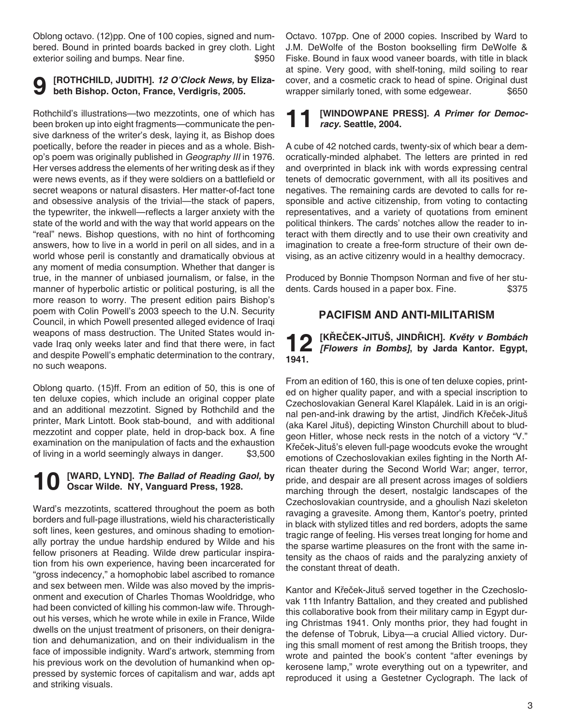Oblong octavo. (12)pp. One of 100 copies, signed and numbered. Bound in printed boards backed in grey cloth. Light exterior soiling and bumps. Near fine.  $$950$ 

#### **9 [ROTHCHILD, JUDITH].** *12 O'Clock News,* **by Elizabeth Bishop. Octon, France, Verdigris, 2005.**

Rothchild's illustrations—two mezzotints, one of which has been broken up into eight fragments—communicate the pensive darkness of the writer's desk, laying it, as Bishop does poetically, before the reader in pieces and as a whole. Bishop's poem was originally published in *Geography III* in 1976. Her verses address the elements of her writing desk as if they were news events, as if they were soldiers on a battlefield or secret weapons or natural disasters. Her matter-of-fact tone and obsessive analysis of the trivial—the stack of papers, the typewriter, the inkwell—reflects a larger anxiety with the state of the world and with the way that world appears on the "real" news. Bishop questions, with no hint of forthcoming answers, how to live in a world in peril on all sides, and in a world whose peril is constantly and dramatically obvious at any moment of media consumption. Whether that danger is true, in the manner of unbiased journalism, or false, in the manner of hyperbolic artistic or political posturing, is all the more reason to worry. The present edition pairs Bishop's poem with Colin Powell's 2003 speech to the U.N. Security Council, in which Powell presented alleged evidence of Iraqi weapons of mass destruction. The United States would invade Iraq only weeks later and find that there were, in fact and despite Powell's emphatic determination to the contrary, no such weapons.

Oblong quarto. (15)ff. From an edition of 50, this is one of ten deluxe copies, which include an original copper plate and an additional mezzotint. Signed by Rothchild and the printer, Mark Lintott. Book stab-bound, and with additional mezzotint and copper plate, held in drop-back box. A fine examination on the manipulation of facts and the exhaustion of living in a world seemingly always in danger. \$3,500

# **10** [WARD, LYND]. *The Ballad of Reading Gaol,* by **obtaination** Oscar Wilde. NY, Vanguard Press, 1928.

Ward's mezzotints, scattered throughout the poem as both borders and full-page illustrations, wield his characteristically soft lines, keen gestures, and ominous shading to emotionally portray the undue hardship endured by Wilde and his fellow prisoners at Reading. Wilde drew particular inspiration from his own experience, having been incarcerated for "gross indecency," a homophobic label ascribed to romance and sex between men. Wilde was also moved by the imprisonment and execution of Charles Thomas Wooldridge, who had been convicted of killing his common-law wife. Throughout his verses, which he wrote while in exile in France, Wilde dwells on the unjust treatment of prisoners, on their denigration and dehumanization, and on their individualism in the face of impossible indignity. Ward's artwork, stemming from his previous work on the devolution of humankind when oppressed by systemic forces of capitalism and war, adds apt and striking visuals.

Octavo. 107pp. One of 2000 copies. Inscribed by Ward to J.M. DeWolfe of the Boston bookselling firm DeWolfe & Fiske. Bound in faux wood vaneer boards, with title in black at spine. Very good, with shelf-toning, mild soiling to rear cover, and a cosmetic crack to head of spine. Original dust wrapper similarly toned, with some edgewear.  $$650$ 

#### **11 [WINDOWPANE PRESS].** *A Primer for Democracy.* **Seattle, 2004.**

A cube of 42 notched cards, twenty-six of which bear a democratically-minded alphabet. The letters are printed in red and overprinted in black ink with words expressing central tenets of democratic government, with all its positives and negatives. The remaining cards are devoted to calls for responsible and active citizenship, from voting to contacting representatives, and a variety of quotations from eminent political thinkers. The cards' notches allow the reader to interact with them directly and to use their own creativity and imagination to create a free-form structure of their own devising, as an active citizenry would in a healthy democracy.

Produced by Bonnie Thompson Norman and five of her students. Cards housed in a paper box. Fine.  $$375$ 

#### **Pacifism and Anti-militarism**

# **12 [KŘEČEK-JITUŠ, JINDŘICH]. Květy v Bombách**  *[Flowers in Bombs]***, by Jarda Kantor. Egypt, 1941.**

From an edition of 160, this is one of ten deluxe copies, printed on higher quality paper, and with a special inscription to Czechoslovakian General Karel Klapálek. Laid in is an original pen-and-ink drawing by the artist, Jindřich Křeček-Jituš (aka Karel Jituš), depicting Winston Churchill about to bludgeon Hitler, whose neck rests in the notch of a victory "V." Křeček-Jituš's eleven full-page woodcuts evoke the wrought emotions of Czechoslovakian exiles fighting in the North African theater during the Second World War; anger, terror, pride, and despair are all present across images of soldiers marching through the desert, nostalgic landscapes of the Czechoslovakian countryside, and a ghoulish Nazi skeleton ravaging a gravesite. Among them, Kantor's poetry, printed in black with stylized titles and red borders, adopts the same tragic range of feeling. His verses treat longing for home and the sparse wartime pleasures on the front with the same intensity as the chaos of raids and the paralyzing anxiety of the constant threat of death.

Kantor and Křeček-Jituš served together in the Czechoslovak 11th Infantry Battalion, and they created and published this collaborative book from their military camp in Egypt during Christmas 1941. Only months prior, they had fought in the defense of Tobruk, Libya—a crucial Allied victory. During this small moment of rest among the British troops, they wrote and painted the book's content "after evenings by kerosene lamp," wrote everything out on a typewriter, and reproduced it using a Gestetner Cyclograph. The lack of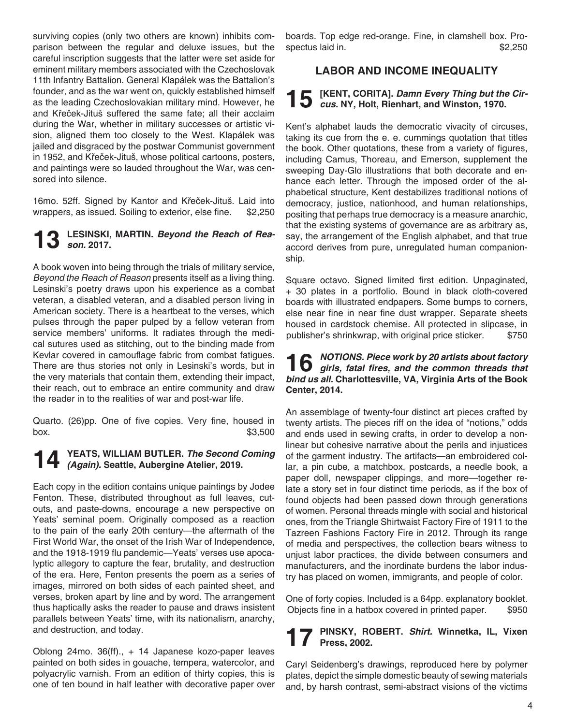surviving copies (only two others are known) inhibits comparison between the regular and deluxe issues, but the careful inscription suggests that the latter were set aside for eminent military members associated with the Czechoslovak 11th Infantry Battalion. General Klapálek was the Battalion's founder, and as the war went on, quickly established himself as the leading Czechoslovakian military mind. However, he and Křeček-Jituš suffered the same fate; all their acclaim during the War, whether in military successes or artistic vision, aligned them too closely to the West. Klapálek was jailed and disgraced by the postwar Communist government in 1952, and Křeček-Jituš, whose political cartoons, posters, and paintings were so lauded throughout the War, was censored into silence.

16mo. 52ff. Signed by Kantor and Křeček-Jituš. Laid into wrappers, as issued. Soiling to exterior, else fine. \$2,250

#### **13 LESINSKI, MARTIN.** *Beyond the Reach of Reason.* **2017.**

A book woven into being through the trials of military service, *Beyond the Reach of Reason* presents itself as a living thing. Lesinski's poetry draws upon his experience as a combat veteran, a disabled veteran, and a disabled person living in American society. There is a heartbeat to the verses, which pulses through the paper pulped by a fellow veteran from service members' uniforms. It radiates through the medical sutures used as stitching, out to the binding made from Kevlar covered in camouflage fabric from combat fatigues. There are thus stories not only in Lesinski's words, but in the very materials that contain them, extending their impact, their reach, out to embrace an entire community and draw the reader in to the realities of war and post-war life.

Quarto. (26)pp. One of five copies. Very fine, housed in  $$3,500$ 

# **14 YEATS, WILLIAM BUTLER.** *The Second Coming (Again).* **Seattle, Aubergine Atelier, 2019.**

Each copy in the edition contains unique paintings by Jodee Fenton. These, distributed throughout as full leaves, cutouts, and paste-downs, encourage a new perspective on Yeats' seminal poem. Originally composed as a reaction to the pain of the early 20th century—the aftermath of the First World War, the onset of the Irish War of Independence, and the 1918-1919 flu pandemic—Yeats' verses use apocalyptic allegory to capture the fear, brutality, and destruction of the era. Here, Fenton presents the poem as a series of images, mirrored on both sides of each painted sheet, and verses, broken apart by line and by word. The arrangement thus haptically asks the reader to pause and draws insistent parallels between Yeats' time, with its nationalism, anarchy, and destruction, and today.

Oblong 24mo. 36(ff)., + 14 Japanese kozo-paper leaves painted on both sides in gouache, tempera, watercolor, and polyacrylic varnish. From an edition of thirty copies, this is one of ten bound in half leather with decorative paper over boards. Top edge red-orange. Fine, in clamshell box. Prospectus laid in.  $$2,250$ 

### **Labor and Income Inequality**

# **15 [KENT, CORITA].** *Damn Every Thing but the Cir-cus.* **NY, Holt, Rienhart, and Winston, 1970.**

Kent's alphabet lauds the democratic vivacity of circuses, taking its cue from the e. e. cummings quotation that titles the book. Other quotations, these from a variety of figures, including Camus, Thoreau, and Emerson, supplement the sweeping Day-Glo illustrations that both decorate and enhance each letter. Through the imposed order of the alphabetical structure, Kent destabilizes traditional notions of democracy, justice, nationhood, and human relationships, positing that perhaps true democracy is a measure anarchic, that the existing systems of governance are as arbitrary as, say, the arrangement of the English alphabet, and that true accord derives from pure, unregulated human companionship.

Square octavo. Signed limited first edition. Unpaginated, + 30 plates in a portfolio. Bound in black cloth-covered boards with illustrated endpapers. Some bumps to corners, else near fine in near fine dust wrapper. Separate sheets housed in cardstock chemise. All protected in slipcase, in publisher's shrinkwrap, with original price sticker. \$750

## **16** *NOTIONS. Piece work by 20 artists about factory*<br> **girls, fatal fires, and the common threads that**<br> **girls, fatal fires, and the common threads that** *bind us all.* **Charlottesville, VA, Virginia Arts of the Book Center, 2014.**

An assemblage of twenty-four distinct art pieces crafted by twenty artists. The pieces riff on the idea of "notions," odds and ends used in sewing crafts, in order to develop a nonlinear but cohesive narrative about the perils and injustices of the garment industry. The artifacts—an embroidered collar, a pin cube, a matchbox, postcards, a needle book, a paper doll, newspaper clippings, and more—together relate a story set in four distinct time periods, as if the box of found objects had been passed down through generations of women. Personal threads mingle with social and historical ones, from the Triangle Shirtwaist Factory Fire of 1911 to the Tazreen Fashions Factory Fire in 2012. Through its range of media and perspectives, the collection bears witness to unjust labor practices, the divide between consumers and manufacturers, and the inordinate burdens the labor industry has placed on women, immigrants, and people of color.

One of forty copies. Included is a 64pp. explanatory booklet. Objects fine in a hatbox covered in printed paper. \$950

#### **17 PINSKY, ROBERT.** *Shirt.* **Winnetka, IL, Vixen Press, 2002.**

Caryl Seidenberg's drawings, reproduced here by polymer plates, depict the simple domestic beauty of sewing materials and, by harsh contrast, semi-abstract visions of the victims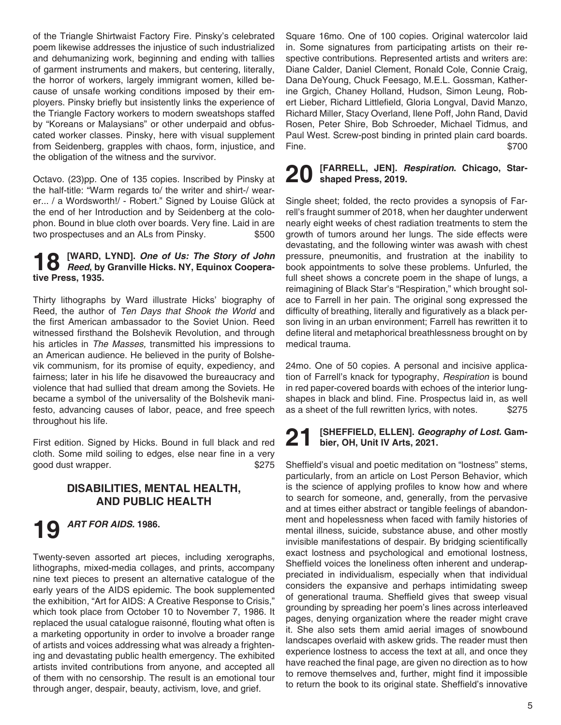of the Triangle Shirtwaist Factory Fire. Pinsky's celebrated poem likewise addresses the injustice of such industrialized and dehumanizing work, beginning and ending with tallies of garment instruments and makers, but centering, literally, the horror of workers, largely immigrant women, killed because of unsafe working conditions imposed by their employers. Pinsky briefly but insistently links the experience of the Triangle Factory workers to modern sweatshops staffed by "Koreans or Malaysians" or other underpaid and obfuscated worker classes. Pinsky, here with visual supplement from Seidenberg, grapples with chaos, form, injustice, and the obligation of the witness and the survivor.

Octavo. (23)pp. One of 135 copies. Inscribed by Pinsky at the half-title: "Warm regards to/ the writer and shirt-/ wearer... / a Wordsworth!/ - Robert." Signed by Louise Glück at the end of her Introduction and by Seidenberg at the colophon. Bound in blue cloth over boards. Very fine. Laid in are two prospectuses and an ALs from Pinsky.  $$500$ 

## **18** [WARD, LYND]. *One of Us: The Story of John*<br> *Reed*, by Granville Hicks. NY, Equinox Coopera**tive Press, 1935.**

Thirty lithographs by Ward illustrate Hicks' biography of Reed, the author of *Ten Days that Shook the World* and the first American ambassador to the Soviet Union. Reed witnessed firsthand the Bolshevik Revolution, and through his articles in *The Masses,* transmitted his impressions to an American audience. He believed in the purity of Bolshevik communism, for its promise of equity, expediency, and fairness; later in his life he disavowed the bureaucracy and violence that had sullied that dream among the Soviets. He became a symbol of the universality of the Bolshevik manifesto, advancing causes of labor, peace, and free speech throughout his life.

First edition. Signed by Hicks. Bound in full black and red cloth. Some mild soiling to edges, else near fine in a very good dust wrapper. <br>\$275

#### **Disabilities, Mental Health, and Public Health**

# **19** *ART FOR AIDS.* **1986.**

Twenty-seven assorted art pieces, including xerographs, lithographs, mixed-media collages, and prints, accompany nine text pieces to present an alternative catalogue of the early years of the AIDS epidemic. The book supplemented the exhibition, "Art for AIDS: A Creative Response to Crisis," which took place from October 10 to November 7, 1986. It replaced the usual catalogue raisonné, flouting what often is a marketing opportunity in order to involve a broader range of artists and voices addressing what was already a frightening and devastating public health emergency. The exhibited artists invited contributions from anyone, and accepted all of them with no censorship. The result is an emotional tour through anger, despair, beauty, activism, love, and grief.

Square 16mo. One of 100 copies. Original watercolor laid in. Some signatures from participating artists on their respective contributions. Represented artists and writers are: Diane Calder, Daniel Clement, Ronald Cole, Connie Craig, Dana DeYoung, Chuck Feesago, M.E.L. Gossman, Katherine Grgich, Chaney Holland, Hudson, Simon Leung, Robert Lieber, Richard Littlefield, Gloria Longval, David Manzo, Richard Miller, Stacy Overland, Ilene Poff, John Rand, David Rosen, Peter Shire, Bob Schroeder, Michael Tidmus, and Paul West. Screw-post binding in printed plain card boards. Fine.  $$700$ 

#### **20 [FARRELL, JEN].** *Respiration***. Chicago, Starshaped Press, 2019.**

Single sheet; folded, the recto provides a synopsis of Farrell's fraught summer of 2018, when her daughter underwent nearly eight weeks of chest radiation treatments to stem the growth of tumors around her lungs. The side effects were devastating, and the following winter was awash with chest pressure, pneumonitis, and frustration at the inability to book appointments to solve these problems. Unfurled, the full sheet shows a concrete poem in the shape of lungs, a reimagining of Black Star's "Respiration," which brought solace to Farrell in her pain. The original song expressed the difficulty of breathing, literally and figuratively as a black person living in an urban environment; Farrell has rewritten it to define literal and metaphorical breathlessness brought on by medical trauma.

24mo. One of 50 copies. A personal and incisive application of Farrell's knack for typography, *Respiration* is bound in red paper-covered boards with echoes of the interior lungshapes in black and blind. Fine. Prospectus laid in, as well as a sheet of the full rewritten lyrics, with notes. \$275

### **21 [SHEFFIELD, ELLEN].** *Geography of Lost.* **Gambier, OH, Unit IV Arts, 2021.**

Sheffield's visual and poetic meditation on "lostness" stems, particularly, from an article on Lost Person Behavior, which is the science of applying profiles to know how and where to search for someone, and, generally, from the pervasive and at times either abstract or tangible feelings of abandonment and hopelessness when faced with family histories of mental illness, suicide, substance abuse, and other mostly invisible manifestations of despair. By bridging scientifically exact lostness and psychological and emotional lostness, Sheffield voices the loneliness often inherent and underappreciated in individualism, especially when that individual considers the expansive and perhaps intimidating sweep of generational trauma. Sheffield gives that sweep visual grounding by spreading her poem's lines across interleaved pages, denying organization where the reader might crave it. She also sets them amid aerial images of snowbound landscapes overlaid with askew grids. The reader must then experience lostness to access the text at all, and once they have reached the final page, are given no direction as to how to remove themselves and, further, might find it impossible to return the book to its original state. Sheffield's innovative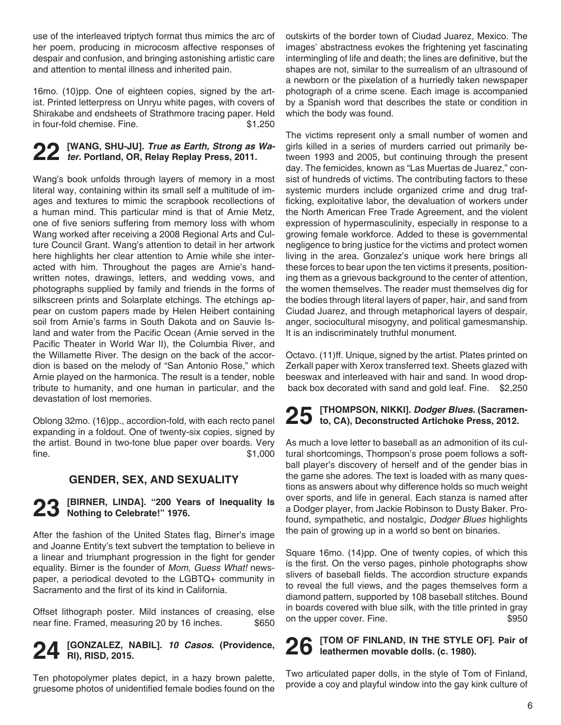use of the interleaved triptych format thus mimics the arc of her poem, producing in microcosm affective responses of despair and confusion, and bringing astonishing artistic care and attention to mental illness and inherited pain.

16mo. (10)pp. One of eighteen copies, signed by the artist. Printed letterpress on Unryu white pages, with covers of Shirakabe and endsheets of Strathmore tracing paper. Held in four-fold chemise. Fine. \$1,250

# **22 [WANG, SHU-JU].** *True as Earth, Strong as Wa-ter.* **Portland, OR, Relay Replay Press, 2011.**

Wang's book unfolds through layers of memory in a most literal way, containing within its small self a multitude of images and textures to mimic the scrapbook recollections of a human mind. This particular mind is that of Arnie Metz, one of five seniors suffering from memory loss with whom Wang worked after receiving a 2008 Regional Arts and Culture Council Grant. Wang's attention to detail in her artwork here highlights her clear attention to Arnie while she interacted with him. Throughout the pages are Arnie's handwritten notes, drawings, letters, and wedding vows, and photographs supplied by family and friends in the forms of silkscreen prints and Solarplate etchings. The etchings appear on custom papers made by Helen Heibert containing soil from Arnie's farms in South Dakota and on Sauvie Island and water from the Pacific Ocean (Arnie served in the Pacific Theater in World War II), the Columbia River, and the Willamette River. The design on the back of the accordion is based on the melody of "San Antonio Rose," which Arnie played on the harmonica. The result is a tender, noble tribute to humanity, and one human in particular, and the devastation of lost memories.

Oblong 32mo. (16)pp., accordion-fold, with each recto panel expanding in a foldout. One of twenty-six copies, signed by the artist. Bound in two-tone blue paper over boards. Very  $\text{fine.}$  \$1,000

### **Gender, Sex, and Sexuality**

# **23 [BIRNER, LINDA]. "200 Years of Inequality Is Nothing to Celebrate!" 1976.**

After the fashion of the United States flag, Birner's image and Joanne Entity's text subvert the temptation to believe in a linear and triumphant progression in the fight for gender equality. Birner is the founder of *Mom, Guess What!* newspaper, a periodical devoted to the LGBTQ+ community in Sacramento and the first of its kind in California.

Offset lithograph poster. Mild instances of creasing, else near fine. Framed, measuring 20 by 16 inches. \$650

### **24 [GONZALEZ, NABIL].** *10 Casos***. (Providence, RI), RISD, 2015.**

Ten photopolymer plates depict, in a hazy brown palette, gruesome photos of unidentified female bodies found on the outskirts of the border town of Ciudad Juarez, Mexico. The images' abstractness evokes the frightening yet fascinating intermingling of life and death; the lines are definitive, but the shapes are not, similar to the surrealism of an ultrasound of a newborn or the pixelation of a hurriedly taken newspaper photograph of a crime scene. Each image is accompanied by a Spanish word that describes the state or condition in which the body was found.

The victims represent only a small number of women and girls killed in a series of murders carried out primarily between 1993 and 2005, but continuing through the present day. The femicides, known as "Las Muertas de Juarez," consist of hundreds of victims. The contributing factors to these systemic murders include organized crime and drug trafficking, exploitative labor, the devaluation of workers under the North American Free Trade Agreement, and the violent expression of hypermasculinity, especially in response to a growing female workforce. Added to these is governmental negligence to bring justice for the victims and protect women living in the area. Gonzalez's unique work here brings all these forces to bear upon the ten victims it presents, positioning them as a grievous background to the center of attention, the women themselves. The reader must themselves dig for the bodies through literal layers of paper, hair, and sand from Ciudad Juarez, and through metaphorical layers of despair, anger, sociocultural misogyny, and political gamesmanship. It is an indiscriminately truthful monument.

Octavo. (11)ff. Unique, signed by the artist. Plates printed on Zerkall paper with Xerox transferred text. Sheets glazed with beeswax and interleaved with hair and sand. In wood dropback box decorated with sand and gold leaf. Fine. \$2,250

# **25 [THOMPSON, NIKKI].** *Dodger Blues.* **(Sacramen-to, CA), Deconstructed Artichoke Press, 2012.**

As much a love letter to baseball as an admonition of its cultural shortcomings, Thompson's prose poem follows a softball player's discovery of herself and of the gender bias in the game she adores. The text is loaded with as many questions as answers about why difference holds so much weight over sports, and life in general. Each stanza is named after a Dodger player, from Jackie Robinson to Dusty Baker. Profound, sympathetic, and nostalgic, *Dodger Blues* highlights the pain of growing up in a world so bent on binaries.

Square 16mo. (14)pp. One of twenty copies, of which this is the first. On the verso pages, pinhole photographs show slivers of baseball fields. The accordion structure expands to reveal the full views, and the pages themselves form a diamond pattern, supported by 108 baseball stitches. Bound in boards covered with blue silk, with the title printed in gray on the upper cover. Fine.  $$950$ 

# **26 [TOM OF FINLAND, IN THE STYLE OF]. Pair of leathermen movable dolls. (c. 1980).**

Two articulated paper dolls, in the style of Tom of Finland, provide a coy and playful window into the gay kink culture of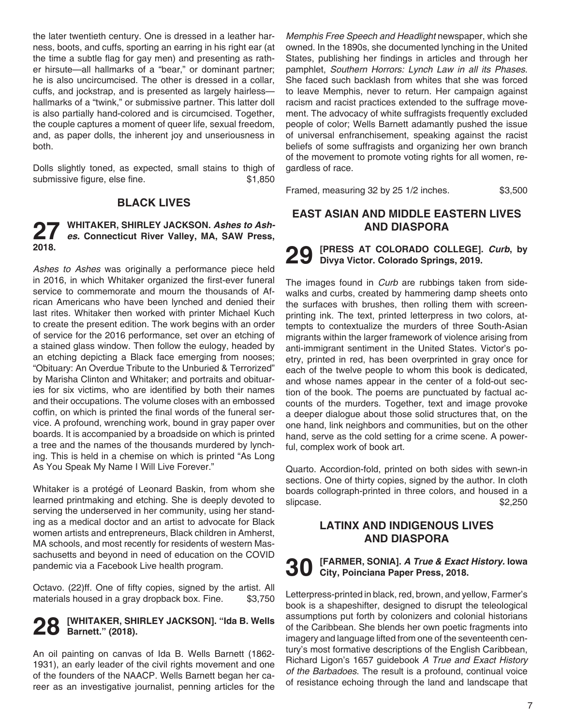the later twentieth century. One is dressed in a leather harness, boots, and cuffs, sporting an earring in his right ear (at the time a subtle flag for gay men) and presenting as rather hirsute—all hallmarks of a "bear," or dominant partner; he is also uncircumcised. The other is dressed in a collar, cuffs, and jockstrap, and is presented as largely hairless hallmarks of a "twink," or submissive partner. This latter doll is also partially hand-colored and is circumcised. Together, the couple captures a moment of queer life, sexual freedom, and, as paper dolls, the inherent joy and unseriousness in both.

Dolls slightly toned, as expected, small stains to thigh of submissive figure, else fine.  $$1,850$ 

### **Black Lives**

## **27 WHITAKER, SHIRLEY JACKSON.** *Ashes to Ash-es.* **Connecticut River Valley, MA, SAW Press, 2018.**

*Ashes to Ashes* was originally a performance piece held in 2016, in which Whitaker organized the first-ever funeral service to commemorate and mourn the thousands of African Americans who have been lynched and denied their last rites. Whitaker then worked with printer Michael Kuch to create the present edition. The work begins with an order of service for the 2016 performance, set over an etching of a stained glass window. Then follow the eulogy, headed by an etching depicting a Black face emerging from nooses; "Obituary: An Overdue Tribute to the Unburied & Terrorized" by Marisha Clinton and Whitaker; and portraits and obituaries for six victims, who are identified by both their names and their occupations. The volume closes with an embossed coffin, on which is printed the final words of the funeral service. A profound, wrenching work, bound in gray paper over boards. It is accompanied by a broadside on which is printed a tree and the names of the thousands murdered by lynching. This is held in a chemise on which is printed "As Long As You Speak My Name I Will Live Forever."

Whitaker is a protégé of Leonard Baskin, from whom she learned printmaking and etching. She is deeply devoted to serving the underserved in her community, using her standing as a medical doctor and an artist to advocate for Black women artists and entrepreneurs, Black children in Amherst, MA schools, and most recently for residents of western Massachusetts and beyond in need of education on the COVID pandemic via a Facebook Live health program.

Octavo. (22)ff. One of fifty copies, signed by the artist. All materials housed in a gray dropback box. Fine. \$3,750

#### **28 [WHITAKER, SHIRLEY JACKSON]. "Ida B. Wells**   $20$  Barnett." (2018).

An oil painting on canvas of Ida B. Wells Barnett (1862- 1931), an early leader of the civil rights movement and one of the founders of the NAACP. Wells Barnett began her career as an investigative journalist, penning articles for the

*Memphis Free Speech and Headlight* newspaper, which she owned. In the 1890s, she documented lynching in the United States, publishing her findings in articles and through her pamphlet, *Southern Horrors: Lynch Law in all its Phases*. She faced such backlash from whites that she was forced to leave Memphis, never to return. Her campaign against racism and racist practices extended to the suffrage movement. The advocacy of white suffragists frequently excluded people of color; Wells Barnett adamantly pushed the issue of universal enfranchisement, speaking against the racist beliefs of some suffragists and organizing her own branch of the movement to promote voting rights for all women, regardless of race.

Framed, measuring 32 by 25 1/2 inches. \$3,500

### **East Asian and Middle Eastern Lives and Diaspora**

**29 [PRESS AT COLORADO COLLEGE].** *Curb***, by Divya Victor. Colorado Springs, 2019.**

The images found in *Curb* are rubbings taken from sidewalks and curbs, created by hammering damp sheets onto the surfaces with brushes, then rolling them with screenprinting ink. The text, printed letterpress in two colors, attempts to contextualize the murders of three South-Asian migrants within the larger framework of violence arising from anti-immigrant sentiment in the United States. Victor's poetry, printed in red, has been overprinted in gray once for each of the twelve people to whom this book is dedicated, and whose names appear in the center of a fold-out section of the book. The poems are punctuated by factual accounts of the murders. Together, text and image provoke a deeper dialogue about those solid structures that, on the one hand, link neighbors and communities, but on the other hand, serve as the cold setting for a crime scene. A powerful, complex work of book art.

Quarto. Accordion-fold, printed on both sides with sewn-in sections. One of thirty copies, signed by the author. In cloth boards collograph-printed in three colors, and housed in a slipcase.  $$2,250$ 

### **Latinx and Indigenous Lives and Diaspora**

### **30 [FARMER, SONIA].** *A True & Exact History.* **Iowa City, Poinciana Paper Press, 2018.**

Letterpress-printed in black, red, brown, and yellow, Farmer's book is a shapeshifter, designed to disrupt the teleological assumptions put forth by colonizers and colonial historians of the Caribbean. She blends her own poetic fragments into imagery and language lifted from one of the seventeenth century's most formative descriptions of the English Caribbean, Richard Ligon's 1657 guidebook *A True and Exact History of the Barbadoes*. The result is a profound, continual voice of resistance echoing through the land and landscape that